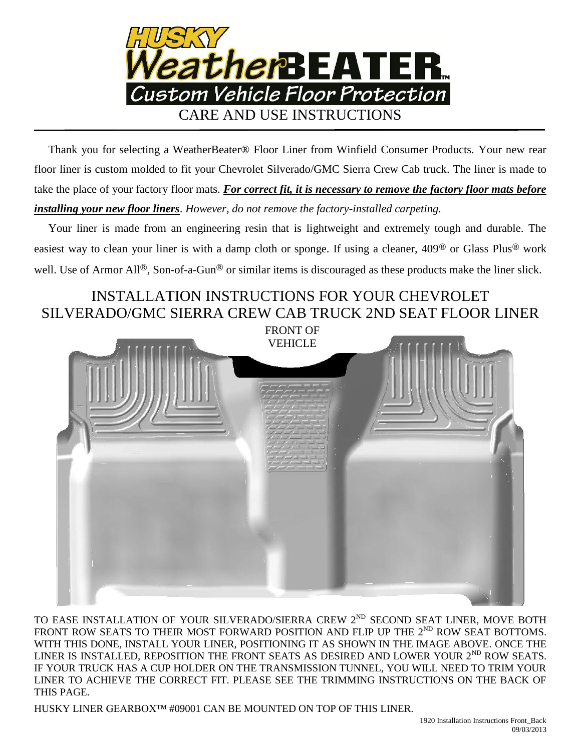

 Thank you for selecting a WeatherBeater® Floor Liner from Winfield Consumer Products. Your new rear floor liner is custom molded to fit your Chevrolet Silverado/GMC Sierra Crew Cab truck. The liner is made to take the place of your factory floor mats. *For correct fit, it is necessary to remove the factory floor mats before installing your new floor liners*. *However, do not remove the factory-installed carpeting.*

 Your liner is made from an engineering resin that is lightweight and extremely tough and durable. The easiest way to clean your liner is with a damp cloth or sponge. If using a cleaner, 409® or Glass Plus® work well. Use of Armor All®, Son-of-a-Gun® or similar items is discouraged as these products make the liner slick.

## INSTALLATION INSTRUCTIONS FOR YOUR CHEVROLET SILVERADO/GMC SIERRA CREW CAB TRUCK 2ND SEAT FLOOR LINER

FRONT OF



TO EASE INSTALLATION OF YOUR SILVERADO/SIERRA CREW 2<sup>ND</sup> SECOND SEAT LINER, MOVE BOTH FRONT ROW SEATS TO THEIR MOST FORWARD POSITION AND FLIP UP THE  $2^{ND}$  ROW SEAT BOTTOMS. WITH THIS DONE, INSTALL YOUR LINER, POSITIONING IT AS SHOWN IN THE IMAGE ABOVE. ONCE THE LINER IS INSTALLED, REPOSITION THE FRONT SEATS AS DESIRED AND LOWER YOUR  $2^{ND}$  ROW SEATS. IF YOUR TRUCK HAS A CUP HOLDER ON THE TRANSMISSION TUNNEL, YOU WILL NEED TO TRIM YOUR LINER TO ACHIEVE THE CORRECT FIT. PLEASE SEE THE TRIMMING INSTRUCTIONS ON THE BACK OF THIS PAGE.

HUSKY LINER GEARBOX™ #09001 CAN BE MOUNTED ON TOP OF THIS LINER.